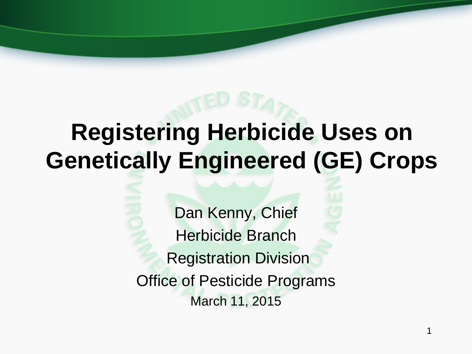# **Registering Herbicide Uses on Genetically Engineered (GE) Crops**

Dan Kenny, Chief Herbicide Branch Registration Division Office of Pesticide Programs March 11, 2015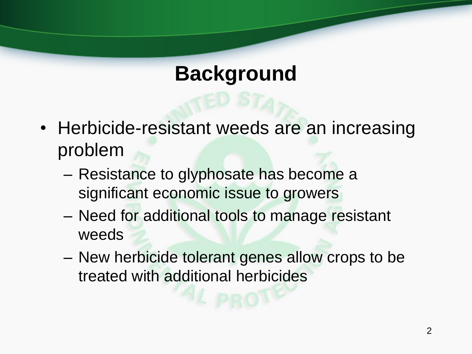#### **Background**

- Herbicide-resistant weeds are an increasing problem
	- Resistance to glyphosate has become a significant economic issue to growers
	- Need for additional tools to manage resistant weeds
	- New herbicide tolerant genes allow crops to be treated with additional herbicides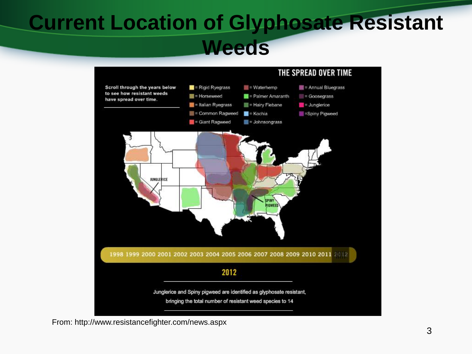### **Current Location of Glyphosate Resistant Weeds**



From: http://www.resistancefighter.com/news.aspx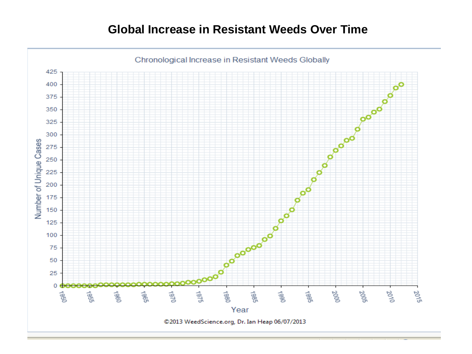#### **Global Increase in Resistant Weeds Over Time**

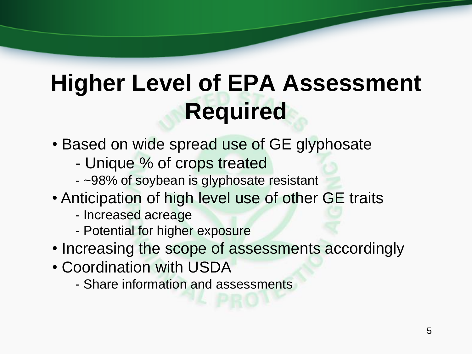# **Higher Level of EPA Assessment Required**

- Based on wide spread use of GE glyphosate
	- Unique % of crops treated
	- ~98% of soybean is glyphosate resistant
- Anticipation of high level use of other GE traits
	- Increased acreage
	- Potential for higher exposure
- Increasing the scope of assessments accordingly
- Coordination with USDA
	- Share information and assessments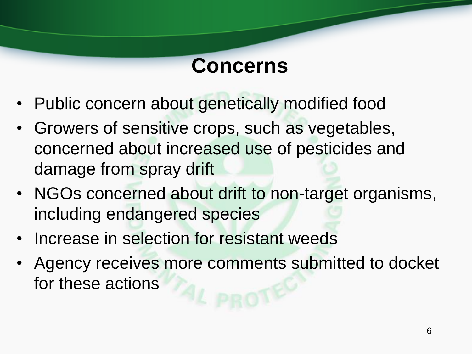#### **Concerns**

- Public concern about genetically modified food
- Growers of sensitive crops, such as vegetables, concerned about increased use of pesticides and damage from spray drift
- NGOs concerned about drift to non-target organisms, including endangered species
- Increase in selection for resistant weeds
- Agency receives more comments submitted to docket for these actions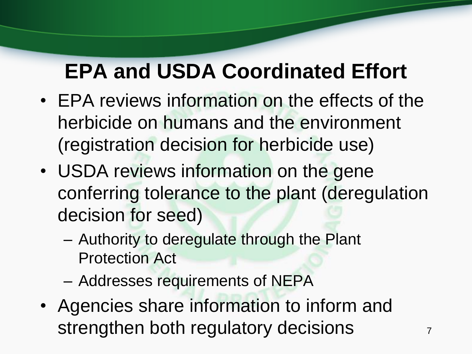## **EPA and USDA Coordinated Effort**

- EPA reviews information on the effects of the herbicide on humans and the environment (registration decision for herbicide use)
- USDA reviews information on the gene conferring tolerance to the plant (deregulation decision for seed)
	- Authority to deregulate through the Plant Protection Act
	- Addresses requirements of NEPA
- Agencies share information to inform and strengthen both regulatory decisions  $77$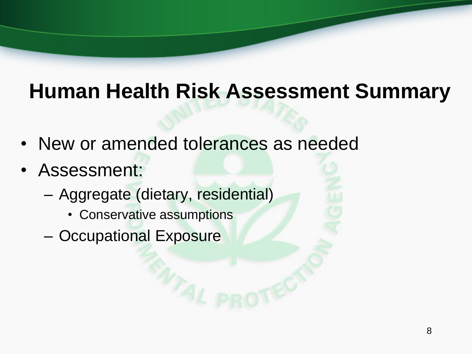## **Human Health Risk Assessment Summary**

- New or amended tolerances as needed
- Assessment:
	- Aggregate (dietary, residential)
		- Conservative assumptions
	- Occupational Exposure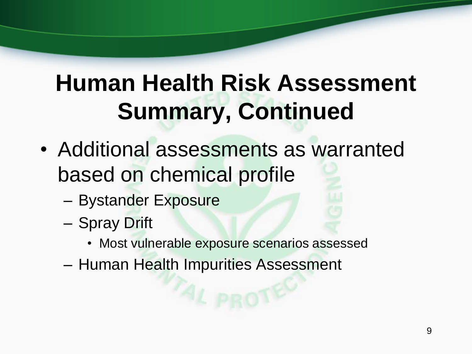# **Human Health Risk Assessment Summary, Continued**

- Additional assessments as warranted based on chemical profile
	- Bystander Exposure
	- Spray Drift
		- Most vulnerable exposure scenarios assessed
	- Human Health Impurities Assessment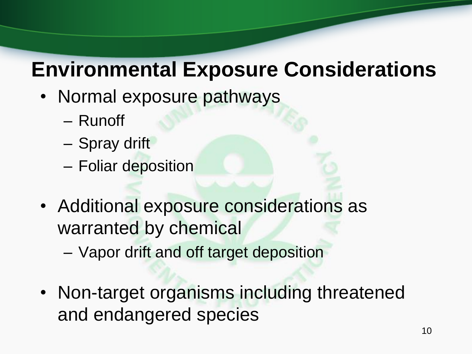### **Environmental Exposure Considerations**

- Normal exposure pathways
	- Runoff
	- Spray drift
	- Foliar deposition
- Additional exposure considerations as warranted by chemical
	- Vapor drift and off target deposition
- Non-target organisms including threatened and endangered species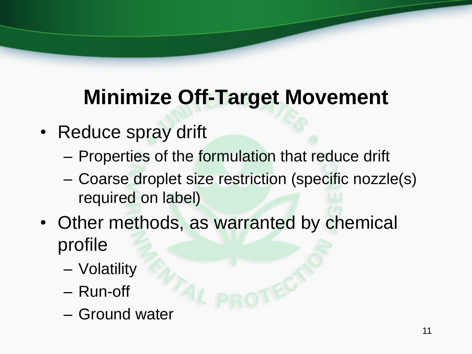## **Minimize Off-Target Movement**

- Reduce spray drift
	- Properties of the formulation that reduce drift
	- Coarse droplet size restriction (specific nozzle(s) required on label)
- Other methods, as warranted by chemical profile
	- Volatility
	- Run-off
	- Ground water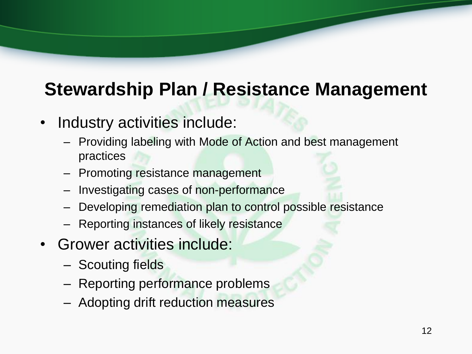#### **Stewardship Plan / Resistance Management**

- Industry activities include:
	- Providing labeling with Mode of Action and best management practices
	- Promoting resistance management
	- Investigating cases of non-performance
	- Developing remediation plan to control possible resistance
	- Reporting instances of likely resistance
- Grower activities include:
	- Scouting fields
	- Reporting performance problems
	- Adopting drift reduction measures